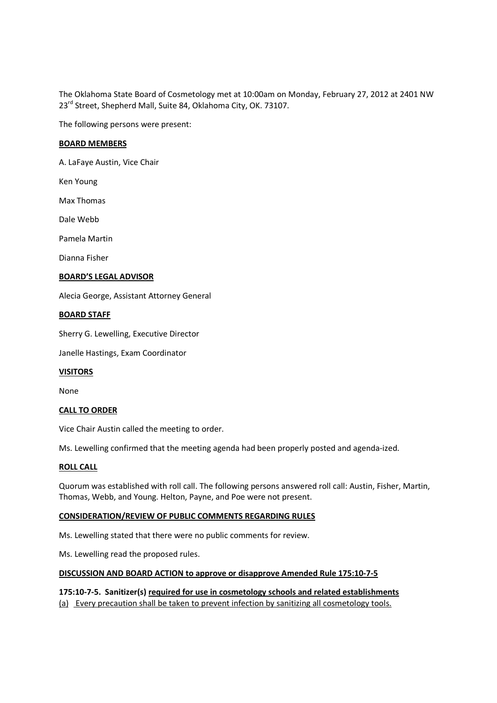The Oklahoma State Board of Cosmetology met at 10:00am on Monday, February 27, 2012 at 2401 NW 23<sup>rd</sup> Street, Shepherd Mall, Suite 84, Oklahoma City, OK. 73107.

The following persons were present:

## **BOARD MEMBERS**

A. LaFaye Austin, Vice Chair

Ken Young

Max Thomas

Dale Webb

Pamela Martin

Dianna Fisher

## **BOARD'S LEGAL ADVISOR**

Alecia George, Assistant Attorney General

## **BOARD STAFF**

Sherry G. Lewelling, Executive Director

Janelle Hastings, Exam Coordinator

## **VISITORS**

None

## **CALL TO ORDER**

Vice Chair Austin called the meeting to order.

Ms. Lewelling confirmed that the meeting agenda had been properly posted and agenda-ized.

## **ROLL CALL**

Quorum was established with roll call. The following persons answered roll call: Austin, Fisher, Martin, Thomas, Webb, and Young. Helton, Payne, and Poe were not present.

# **CONSIDERATION/REVIEW OF PUBLIC COMMENTS REGARDING RULES**

Ms. Lewelling stated that there were no public comments for review.

Ms. Lewelling read the proposed rules.

#### **DISCUSSION AND BOARD ACTION to approve or disapprove Amended Rule 175:10-7-5**

**175:10-7-5. Sanitizer(s) required for use in cosmetology schools and related establishments** (a) Every precaution shall be taken to prevent infection by sanitizing all cosmetology tools.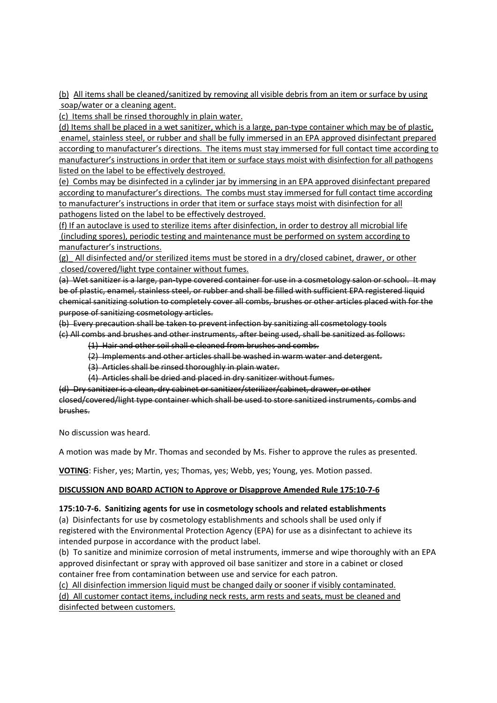(b) All items shall be cleaned/sanitized by removing all visible debris from an item or surface by using soap/water or a cleaning agent.

(c) Items shall be rinsed thoroughly in plain water.

(d) Items shall be placed in a wet sanitizer, which is a large, pan-type container which may be of plastic, enamel, stainless steel, or rubber and shall be fully immersed in an EPA approved disinfectant prepared according to manufacturer's directions. The items must stay immersed for full contact time according to manufacturer's instructions in order that item or surface stays moist with disinfection for all pathogens listed on the label to be effectively destroyed.

(e) Combs may be disinfected in a cylinder jar by immersing in an EPA approved disinfectant prepared according to manufacturer's directions. The combs must stay immersed for full contact time according to manufacturer's instructions in order that item or surface stays moist with disinfection for all pathogens listed on the label to be effectively destroyed.

(f) If an autoclave is used to sterilize items after disinfection, in order to destroy all microbial life (including spores), periodic testing and maintenance must be performed on system according to manufacturer's instructions.

(g)\_ All disinfected and/or sterilized items must be stored in a dry/closed cabinet, drawer, or other closed/covered/light type container without fumes.

(a) Wet sanitizer is a large, pan-type covered container for use in a cosmetology salon or school. It may be of plastic, enamel, stainless steel, or rubber and shall be filled with sufficient EPA registered liquid chemical sanitizing solution to completely cover all combs, brushes or other articles placed with for the purpose of sanitizing cosmetology articles.

(b) Every precaution shall be taken to prevent infection by sanitizing all cosmetology tools (c) All combs and brushes and other instruments, after being used, shall be sanitized as follows:

- (1) Hair and other soil shall e cleaned from brushes and combs.
- (2) Implements and other articles shall be washed in warm water and detergent.
- (3) Articles shall be rinsed thoroughly in plain water.
- (4) Articles shall be dried and placed in dry sanitizer without fumes.

(d) Dry sanitizer is a clean, dry cabinet or sanitizer/sterilizer/cabinet, drawer, or other closed/covered/light type container which shall be used to store sanitized instruments, combs and brushes.

No discussion was heard.

A motion was made by Mr. Thomas and seconded by Ms. Fisher to approve the rules as presented.

**VOTING**: Fisher, yes; Martin, yes; Thomas, yes; Webb, yes; Young, yes. Motion passed.

## **DISCUSSION AND BOARD ACTION to Approve or Disapprove Amended Rule 175:10-7-6**

## **175:10-7-6. Sanitizing agents for use in cosmetology schools and related establishments**

(a) Disinfectants for use by cosmetology establishments and schools shall be used only if registered with the Environmental Protection Agency (EPA) for use as a disinfectant to achieve its intended purpose in accordance with the product label.

(b) To sanitize and minimize corrosion of metal instruments, immerse and wipe thoroughly with an EPA approved disinfectant or spray with approved oil base sanitizer and store in a cabinet or closed container free from contamination between use and service for each patron.

(c) All disinfection immersion liquid must be changed daily or sooner if visibly contaminated. (d) All customer contact items, including neck rests, arm rests and seats, must be cleaned and disinfected between customers.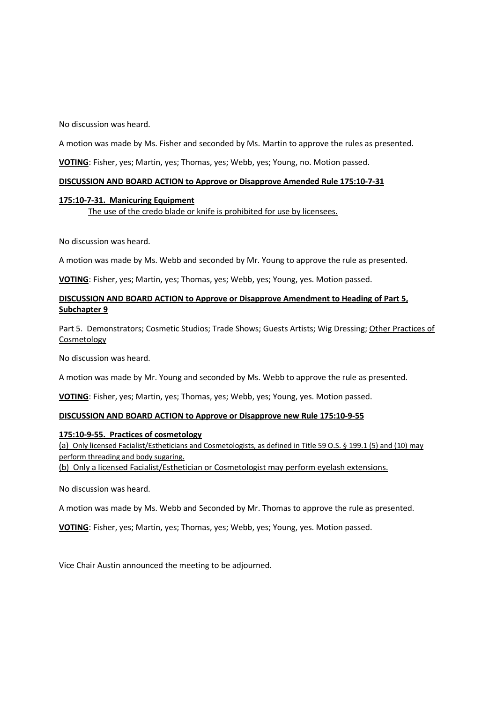No discussion was heard.

A motion was made by Ms. Fisher and seconded by Ms. Martin to approve the rules as presented.

**VOTING**: Fisher, yes; Martin, yes; Thomas, yes; Webb, yes; Young, no. Motion passed.

## **DISCUSSION AND BOARD ACTION to Approve or Disapprove Amended Rule 175:10-7-31**

## **175:10-7-31. Manicuring Equipment** The use of the credo blade or knife is prohibited for use by licensees.

No discussion was heard.

A motion was made by Ms. Webb and seconded by Mr. Young to approve the rule as presented.

**VOTING**: Fisher, yes; Martin, yes; Thomas, yes; Webb, yes; Young, yes. Motion passed.

# **DISCUSSION AND BOARD ACTION to Approve or Disapprove Amendment to Heading of Part 5, Subchapter 9**

Part 5. Demonstrators; Cosmetic Studios; Trade Shows; Guests Artists; Wig Dressing; Other Practices of Cosmetology

No discussion was heard.

A motion was made by Mr. Young and seconded by Ms. Webb to approve the rule as presented.

**VOTING**: Fisher, yes; Martin, yes; Thomas, yes; Webb, yes; Young, yes. Motion passed.

## **DISCUSSION AND BOARD ACTION to Approve or Disapprove new Rule 175:10-9-55**

## **175:10-9-55. Practices of cosmetology**

(a) Only licensed Facialist/Estheticians and Cosmetologists, as defined in Title 59 O.S. § 199.1 (5) and (10) may perform threading and body sugaring.

(b) Only a licensed Facialist/Esthetician or Cosmetologist may perform eyelash extensions.

No discussion was heard.

A motion was made by Ms. Webb and Seconded by Mr. Thomas to approve the rule as presented.

**VOTING**: Fisher, yes; Martin, yes; Thomas, yes; Webb, yes; Young, yes. Motion passed.

Vice Chair Austin announced the meeting to be adjourned.